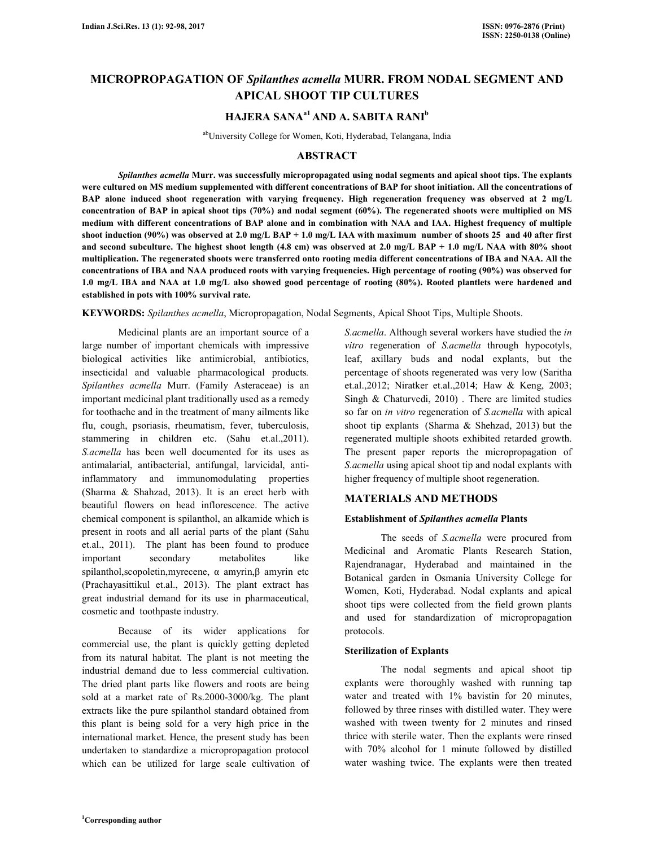# **MICROPROPAGATION OF** *Spilanthes acmella* **MURR. FROM NODAL SEGMENT AND APICAL SHOOT TIP CULTURES**

# **HAJERA SANAa1 AND A. SABITA RANI<sup>b</sup>**

abUniversity College for Women, Koti, Hyderabad, Telangana, India

# **ABSTRACT**

 *Spilanthes acmella* **Murr. was successfully micropropagated using nodal segments and apical shoot tips. The explants were cultured on MS medium supplemented with different concentrations of BAP for shoot initiation. All the concentrations of BAP alone induced shoot regeneration with varying frequency. High regeneration frequency was observed at 2 mg/L concentration of BAP in apical shoot tips (70%) and nodal segment (60%). The regenerated shoots were multiplied on MS medium with different concentrations of BAP alone and in combination with NAA and IAA. Highest frequency of multiple shoot induction (90%) was observed at 2.0 mg/L BAP + 1.0 mg/L IAA with maximum number of shoots 25 and 40 after first and second subculture. The highest shoot length (4.8 cm) was observed at 2.0 mg/L BAP + 1.0 mg/L NAA with 80% shoot multiplication. The regenerated shoots were transferred onto rooting media different concentrations of IBA and NAA. All the concentrations of IBA and NAA produced roots with varying frequencies. High percentage of rooting (90%) was observed for 1.0 mg/L IBA and NAA at 1.0 mg/L also showed good percentage of rooting (80%). Rooted plantlets were hardened and established in pots with 100% survival rate.** 

**KEYWORDS:** *Spilanthes acmella*, Micropropagation, Nodal Segments, Apical Shoot Tips, Multiple Shoots.

 Medicinal plants are an important source of a large number of important chemicals with impressive biological activities like antimicrobial, antibiotics, insecticidal and valuable pharmacological products*. Spilanthes acmella* Murr. (Family Asteraceae) is an important medicinal plant traditionally used as a remedy for toothache and in the treatment of many ailments like flu, cough, psoriasis, rheumatism, fever, tuberculosis, stammering in children etc. (Sahu et.al., 2011). *S.acmella* has been well documented for its uses as antimalarial, antibacterial, antifungal, larvicidal, antiinflammatory and immunomodulating properties (Sharma & Shahzad, 2013). It is an erect herb with beautiful flowers on head inflorescence. The active chemical component is spilanthol, an alkamide which is present in roots and all aerial parts of the plant (Sahu et.al., 2011). The plant has been found to produce important secondary metabolites like spilanthol,scopoletin,myrecene, α amyrin,β amyrin etc (Prachayasittikul et.al., 2013). The plant extract has great industrial demand for its use in pharmaceutical, cosmetic and toothpaste industry.

 Because of its wider applications for commercial use, the plant is quickly getting depleted from its natural habitat. The plant is not meeting the industrial demand due to less commercial cultivation. The dried plant parts like flowers and roots are being sold at a market rate of Rs.2000-3000/kg. The plant extracts like the pure spilanthol standard obtained from this plant is being sold for a very high price in the international market. Hence, the present study has been undertaken to standardize a micropropagation protocol which can be utilized for large scale cultivation of *S.acmella*. Although several workers have studied the *in vitro* regeneration of *S.acmella* through hypocotyls, leaf, axillary buds and nodal explants, but the percentage of shoots regenerated was very low (Saritha et.al.,2012; Niratker et.al.,2014; Haw & Keng, 2003; Singh & Chaturvedi, 2010) . There are limited studies so far on *in vitro* regeneration of *S.acmella* with apical shoot tip explants (Sharma & Shehzad, 2013) but the regenerated multiple shoots exhibited retarded growth. The present paper reports the micropropagation of *S.acmella* using apical shoot tip and nodal explants with higher frequency of multiple shoot regeneration.

## **MATERIALS AND METHODS**

#### **Establishment of** *Spilanthes acmella* **Plants**

 The seeds of *S.acmella* were procured from Medicinal and Aromatic Plants Research Station, Rajendranagar, Hyderabad and maintained in the Botanical garden in Osmania University College for Women, Koti, Hyderabad. Nodal explants and apical shoot tips were collected from the field grown plants and used for standardization of micropropagation protocols.

## **Sterilization of Explants**

 The nodal segments and apical shoot tip explants were thoroughly washed with running tap water and treated with 1% bavistin for 20 minutes, followed by three rinses with distilled water. They were washed with tween twenty for 2 minutes and rinsed thrice with sterile water. Then the explants were rinsed with 70% alcohol for 1 minute followed by distilled water washing twice. The explants were then treated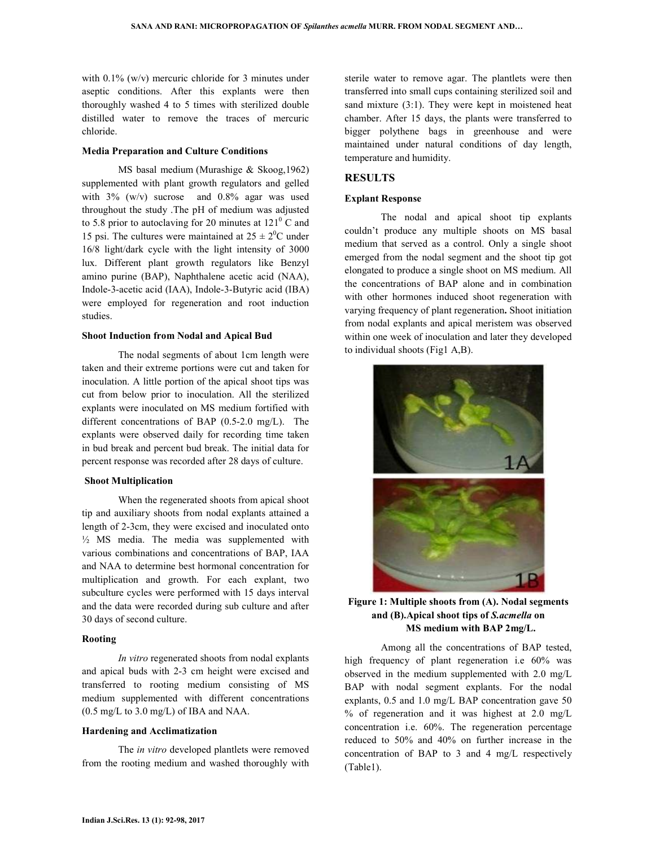with 0.1% (w/v) mercuric chloride for 3 minutes under aseptic conditions. After this explants were then thoroughly washed 4 to 5 times with sterilized double distilled water to remove the traces of mercuric chloride.

#### **Media Preparation and Culture Conditions**

 MS basal medium (Murashige & Skoog,1962) supplemented with plant growth regulators and gelled with  $3\%$  (w/v) sucrose and  $0.8\%$  agar was used throughout the study .The pH of medium was adjusted to 5.8 prior to autoclaving for 20 minutes at  $121^{\circ}$  C and 15 psi. The cultures were maintained at  $25 \pm 2^{0}C$  under 16/8 light/dark cycle with the light intensity of 3000 lux. Different plant growth regulators like Benzyl amino purine (BAP), Naphthalene acetic acid (NAA), Indole-3-acetic acid (IAA), Indole-3-Butyric acid (IBA) were employed for regeneration and root induction studies.

#### **Shoot Induction from Nodal and Apical Bud**

 The nodal segments of about 1cm length were taken and their extreme portions were cut and taken for inoculation. A little portion of the apical shoot tips was cut from below prior to inoculation. All the sterilized explants were inoculated on MS medium fortified with different concentrations of BAP (0.5-2.0 mg/L). The explants were observed daily for recording time taken in bud break and percent bud break. The initial data for percent response was recorded after 28 days of culture.

#### **Shoot Multiplication**

 When the regenerated shoots from apical shoot tip and auxiliary shoots from nodal explants attained a length of 2-3cm, they were excised and inoculated onto ½ MS media. The media was supplemented with various combinations and concentrations of BAP, IAA and NAA to determine best hormonal concentration for multiplication and growth. For each explant, two subculture cycles were performed with 15 days interval and the data were recorded during sub culture and after 30 days of second culture.

#### **Rooting**

 *In vitro* regenerated shoots from nodal explants and apical buds with 2-3 cm height were excised and transferred to rooting medium consisting of MS medium supplemented with different concentrations (0.5 mg/L to 3.0 mg/L) of IBA and NAA.

#### **Hardening and Acclimatization**

 The *in vitro* developed plantlets were removed from the rooting medium and washed thoroughly with sterile water to remove agar. The plantlets were then transferred into small cups containing sterilized soil and sand mixture (3:1). They were kept in moistened heat chamber. After 15 days, the plants were transferred to bigger polythene bags in greenhouse and were maintained under natural conditions of day length, temperature and humidity.

#### **RESULTS**

#### **Explant Response**

 The nodal and apical shoot tip explants couldn't produce any multiple shoots on MS basal medium that served as a control. Only a single shoot emerged from the nodal segment and the shoot tip got elongated to produce a single shoot on MS medium. All the concentrations of BAP alone and in combination with other hormones induced shoot regeneration with varying frequency of plant regeneration**.** Shoot initiation from nodal explants and apical meristem was observed within one week of inoculation and later they developed to individual shoots (Fig1 A,B).



**Figure 1: Multiple shoots from (A). Nodal segments and (B).Apical shoot tips of** *S.acmella* **on MS medium with BAP 2mg/L.**

 Among all the concentrations of BAP tested, high frequency of plant regeneration i.e 60% was observed in the medium supplemented with 2.0 mg/L BAP with nodal segment explants. For the nodal explants, 0.5 and 1.0 mg/L BAP concentration gave 50 % of regeneration and it was highest at 2.0 mg/L concentration i.e. 60%. The regeneration percentage reduced to 50% and 40% on further increase in the concentration of BAP to 3 and 4 mg/L respectively (Table1).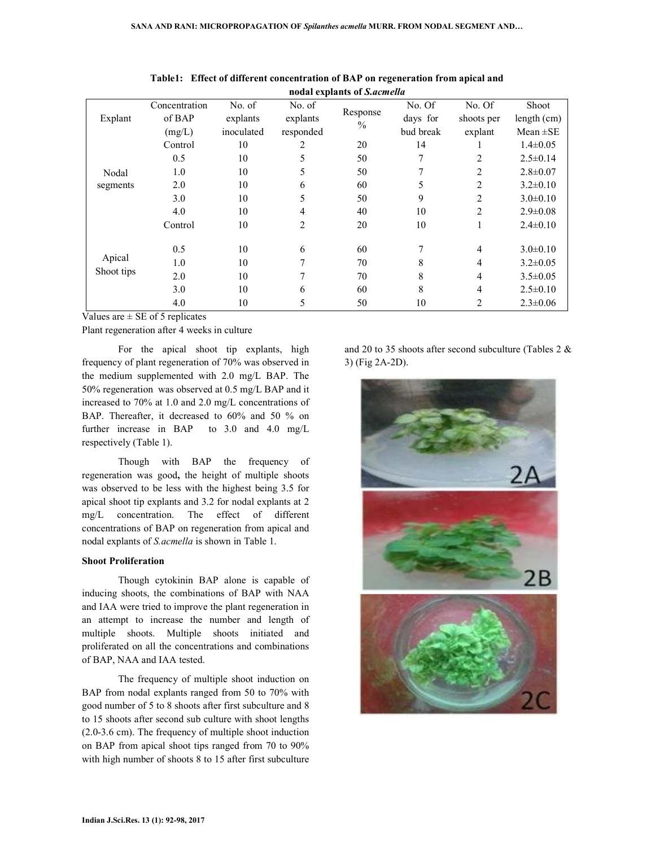|            |               |            |           | nodal explants of Sacmella |           |            |                |
|------------|---------------|------------|-----------|----------------------------|-----------|------------|----------------|
|            | Concentration | No. of     | No. of    | Response                   | No. Of    | No. Of     | Shoot          |
| Explant    | of BAP        | explants   | explants  | $\frac{0}{0}$              | days for  | shoots per | length (cm)    |
|            | (mg/L)        | inoculated | responded |                            | bud break | explant    | Mean $\pm$ SE  |
|            | Control       | 10         | 2         | 20                         | 14        |            | $1.4 \pm 0.05$ |
|            | 0.5           | 10         | 5         | 50                         | 7         | 2          | $2.5 \pm 0.14$ |
| Nodal      | 1.0           | 10         | 5         | 50                         | 7         | 2          | $2.8 \pm 0.07$ |
| segments   | 2.0           | 10         | 6         | 60                         | 5         | 2          | $3.2 \pm 0.10$ |
|            | 3.0           | 10         | 5         | 50                         | 9         | 2          | $3.0 \pm 0.10$ |
|            | 4.0           | 10         | 4         | 40                         | 10        | 2          | $2.9 \pm 0.08$ |
|            | Control       | 10         | 2         | 20                         | 10        |            | $2.4 \pm 0.10$ |
|            |               |            |           |                            |           |            |                |
|            | 0.5           | 10         | 6         | 60                         | 7         | 4          | $3.0 \pm 0.10$ |
| Apical     | 1.0           | 10         | 7         | 70                         | 8         | 4          | $3.2 \pm 0.05$ |
| Shoot tips | 2.0           | 10         |           | 70                         | 8         | 4          | $3.5 \pm 0.05$ |
|            | 3.0           | 10         | 6         | 60                         | 8         | 4          | $2.5 \pm 0.10$ |
|            | 4.0           | 10         | 5         | 50                         | 10        | 2          | $2.3 \pm 0.06$ |

**Table1: Effect of different concentration of BAP on regeneration from apical and nodal explants of** *S.acmella* 

Values are  $\pm$  SE of 5 replicates

Plant regeneration after 4 weeks in culture

 For the apical shoot tip explants, high frequency of plant regeneration of 70% was observed in the medium supplemented with 2.0 mg/L BAP. The 50% regeneration was observed at 0.5 mg/L BAP and it increased to 70% at 1.0 and 2.0 mg/L concentrations of BAP. Thereafter, it decreased to 60% and 50 % on further increase in BAP to 3.0 and 4.0 mg/L respectively (Table 1).

 Though with BAP the frequency of regeneration was good**,** the height of multiple shoots was observed to be less with the highest being 3.5 for apical shoot tip explants and 3.2 for nodal explants at 2 mg/L concentration. The effect of different concentrations of BAP on regeneration from apical and nodal explants of *S.acmella* is shown in Table 1.

#### **Shoot Proliferation**

 Though cytokinin BAP alone is capable of inducing shoots, the combinations of BAP with NAA and IAA were tried to improve the plant regeneration in an attempt to increase the number and length of multiple shoots. Multiple shoots initiated and proliferated on all the concentrations and combinations of BAP, NAA and IAA tested.

 The frequency of multiple shoot induction on BAP from nodal explants ranged from 50 to 70% with good number of 5 to 8 shoots after first subculture and 8 to 15 shoots after second sub culture with shoot lengths (2.0-3.6 cm). The frequency of multiple shoot induction on BAP from apical shoot tips ranged from 70 to 90% with high number of shoots 8 to 15 after first subculture

and 20 to 35 shoots after second subculture (Tables 2 & 3) (Fig 2A-2D).

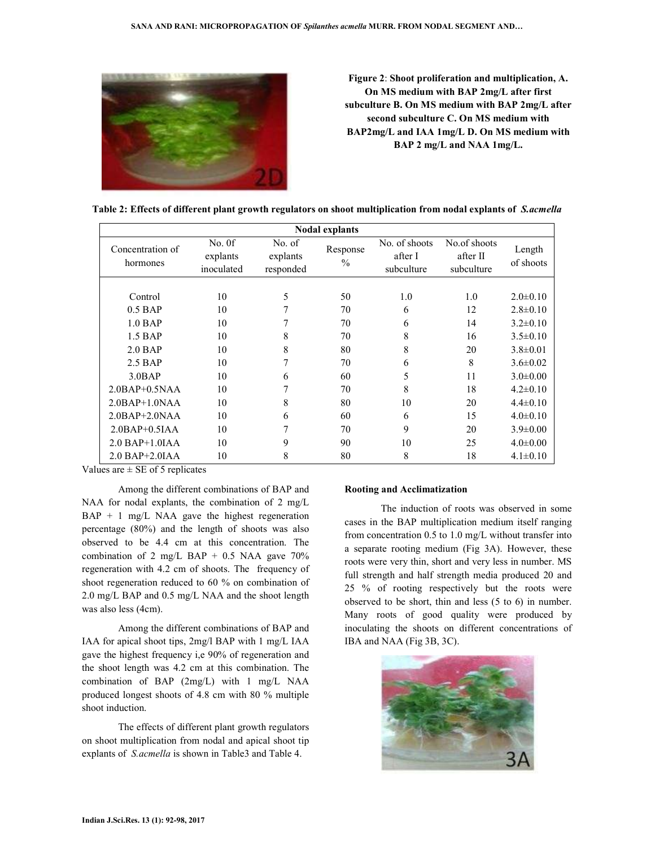

**Figure 2**: **Shoot proliferation and multiplication, A. On MS medium with BAP 2mg/L after first subculture B. On MS medium with BAP 2mg/L after second subculture C. On MS medium with BAP2mg/L and IAA 1mg/L D. On MS medium with BAP 2 mg/L and NAA 1mg/L.**

| <b>Nodal explants</b>        |                                  |                                 |                           |                                        |                                        |                     |  |
|------------------------------|----------------------------------|---------------------------------|---------------------------|----------------------------------------|----------------------------------------|---------------------|--|
| Concentration of<br>hormones | No. 0f<br>explants<br>inoculated | No. of<br>explants<br>responded | Response<br>$\frac{0}{0}$ | No. of shoots<br>after I<br>subculture | No.of shoots<br>after II<br>subculture | Length<br>of shoots |  |
|                              |                                  |                                 |                           |                                        |                                        |                     |  |
| Control                      | 10                               | 5                               | 50                        | 1.0                                    | 1.0                                    | $2.0 \pm 0.10$      |  |
| $0.5$ BAP                    | 10                               | 7                               | 70                        | 6                                      | 12                                     | $2.8 \pm 0.10$      |  |
| $1.0$ BAP                    | 10                               | 7                               | 70                        | 6                                      | 14                                     | $3.2 \pm 0.10$      |  |
| $1.5$ BAP                    | 10                               | 8                               | 70                        | 8                                      | 16                                     | $3.5 \pm 0.10$      |  |
| $2.0$ BAP                    | 10                               | 8                               | 80                        | 8                                      | 20                                     | $3.8 \pm 0.01$      |  |
| $2.5$ BAP                    | 10                               | 7                               | 70                        | 6                                      | 8                                      | $3.6 \pm 0.02$      |  |
| 3.0BAP                       | 10                               | 6                               | 60                        | 5                                      | 11                                     | $3.0 \pm 0.00$      |  |
| $2.0BAP+0.5NAA$              | 10                               |                                 | 70                        | 8                                      | 18                                     | $4.2 \pm 0.10$      |  |
| $2.0$ BAP+ $1.0$ NAA         | 10                               | 8                               | 80                        | 10                                     | 20                                     | $4.4 \pm 0.10$      |  |
| $2.0BAP+2.0NAA$              | 10                               | 6                               | 60                        | 6                                      | 15                                     | $4.0 \pm 0.10$      |  |
| $2.0BAP+0.5IAA$              | 10                               | 7                               | 70                        | 9                                      | 20                                     | $3.9 \pm 0.00$      |  |
| $2.0$ BAP+1.0IAA             | 10                               | 9                               | 90                        | 10                                     | 25                                     | $4.0 \pm 0.00$      |  |
| $2.0$ BAP+ $2.0$ IAA         | 10                               | 8                               | 80                        | 8                                      | 18                                     | $4.1 \pm 0.10$      |  |

Values are  $\pm$  SE of 5 replicates

 Among the different combinations of BAP and NAA for nodal explants, the combination of 2 mg/L BAP + 1 mg/L NAA gave the highest regeneration percentage (80%) and the length of shoots was also observed to be 4.4 cm at this concentration. The combination of 2 mg/L BAP + 0.5 NAA gave  $70\%$ regeneration with 4.2 cm of shoots. The frequency of shoot regeneration reduced to 60 % on combination of 2.0 mg/L BAP and 0.5 mg/L NAA and the shoot length was also less (4cm).

 Among the different combinations of BAP and IAA for apical shoot tips, 2mg/l BAP with 1 mg/L IAA gave the highest frequency i,e 90% of regeneration and the shoot length was 4.2 cm at this combination. The combination of BAP (2mg/L) with 1 mg/L NAA produced longest shoots of 4.8 cm with 80 % multiple shoot induction.

 The effects of different plant growth regulators on shoot multiplication from nodal and apical shoot tip explants of *S.acmella* is shown in Table3 and Table 4.

#### **Rooting and Acclimatization**

 The induction of roots was observed in some cases in the BAP multiplication medium itself ranging from concentration 0.5 to 1.0 mg/L without transfer into a separate rooting medium (Fig 3A). However, these roots were very thin, short and very less in number. MS full strength and half strength media produced 20 and 25 % of rooting respectively but the roots were observed to be short, thin and less (5 to 6) in number. Many roots of good quality were produced by inoculating the shoots on different concentrations of IBA and NAA (Fig 3B, 3C).

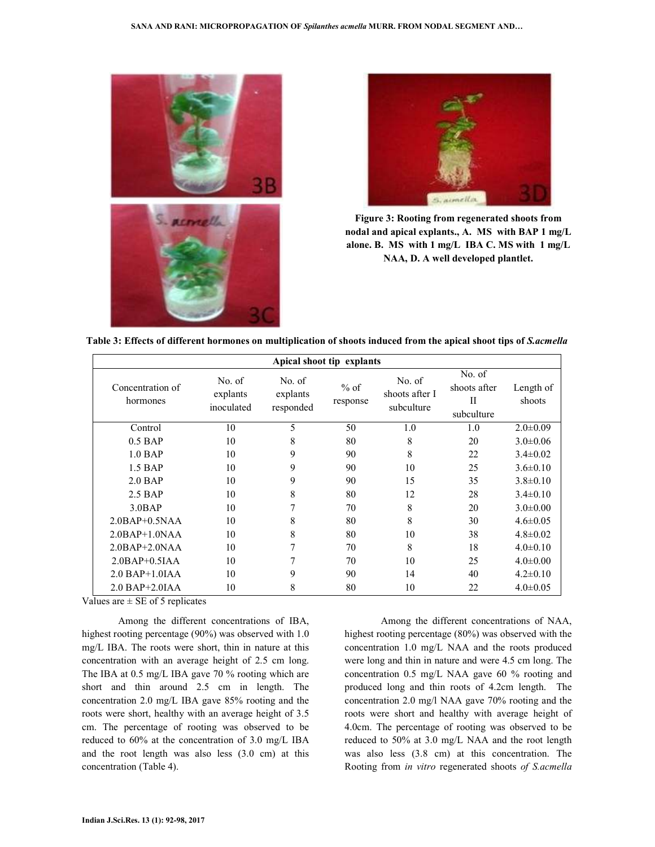



**Figure 3: Rooting from regenerated shoots from nodal and apical explants., A. MS with BAP 1 mg/L alone. B. MS with 1 mg/L IBA C. MS with 1 mg/L NAA, D. A well developed plantlet.**

**Table 3: Effects of different hormones on multiplication of shoots induced from the apical shoot tips of** *S.acmella*

| Apical shoot tip explants    |                                  |                                 |                    |                                        |                                                     |                     |  |
|------------------------------|----------------------------------|---------------------------------|--------------------|----------------------------------------|-----------------------------------------------------|---------------------|--|
| Concentration of<br>hormones | No. of<br>explants<br>inoculated | No. of<br>explants<br>responded | $%$ of<br>response | No. of<br>shoots after I<br>subculture | No. of<br>shoots after<br>$_{\rm II}$<br>subculture | Length of<br>shoots |  |
| Control                      | 10                               | 5                               | 50                 | 1.0                                    | 1.0                                                 | $2.0 \pm 0.09$      |  |
| $0.5$ BAP                    | 10                               | 8                               | 80                 | 8                                      | 20                                                  | $3.0 \pm 0.06$      |  |
| $1.0$ BAP                    | 10                               | 9                               | 90                 | 8                                      | 22                                                  | $3.4 \pm 0.02$      |  |
| $1.5$ BAP                    | 10                               | 9                               | 90                 | 10                                     | 25                                                  | $3.6 \pm 0.10$      |  |
| $2.0$ BAP                    | 10                               | 9                               | 90                 | 15                                     | 35                                                  | $3.8 \pm 0.10$      |  |
| $2.5$ BAP                    | 10                               | 8                               | 80                 | 12                                     | 28                                                  | $3.4\pm 0.10$       |  |
| 3.0BAP                       | 10                               | 7                               | 70                 | 8                                      | 20                                                  | $3.0 \pm 0.00$      |  |
| $2.0BAP+0.5NAA$              | 10                               | 8                               | 80                 | 8                                      | 30                                                  | $4.6 \pm 0.05$      |  |
| $2.0BAP+1.0NAA$              | 10                               | 8                               | 80                 | 10                                     | 38                                                  | $4.8 \pm 0.02$      |  |
| $2.0$ BAP+ $2.0$ NAA         | 10                               | 7                               | 70                 | 8                                      | 18                                                  | $4.0 \pm 0.10$      |  |
| $2.0BAP+0.5IAA$              | 10                               | 7                               | 70                 | 10                                     | 25                                                  | $4.0 \pm 0.00$      |  |
| $2.0$ BAP+1.0IAA             | 10                               | 9                               | 90                 | 14                                     | 40                                                  | $4.2 \pm 0.10$      |  |
| $2.0$ BAP+ $2.0$ IAA         | 10                               | 8                               | 80                 | 10                                     | 22                                                  | $4.0 \pm 0.05$      |  |

Values are  $\pm$  SE of 5 replicates

 Among the different concentrations of IBA, highest rooting percentage (90%) was observed with 1.0 mg/L IBA. The roots were short, thin in nature at this concentration with an average height of 2.5 cm long. The IBA at 0.5 mg/L IBA gave 70 % rooting which are short and thin around 2.5 cm in length. The concentration 2.0 mg/L IBA gave 85% rooting and the roots were short, healthy with an average height of 3.5 cm. The percentage of rooting was observed to be reduced to 60% at the concentration of 3.0 mg/L IBA and the root length was also less (3.0 cm) at this concentration (Table 4).

 Among the different concentrations of NAA, highest rooting percentage (80%) was observed with the concentration 1.0 mg/L NAA and the roots produced were long and thin in nature and were 4.5 cm long. The concentration 0.5 mg/L NAA gave 60 % rooting and produced long and thin roots of 4.2cm length. The concentration 2.0 mg/l NAA gave 70% rooting and the roots were short and healthy with average height of 4.0cm. The percentage of rooting was observed to be reduced to 50% at 3.0 mg/L NAA and the root length was also less (3.8 cm) at this concentration. The Rooting from *in vitro* regenerated shoots *of S.acmella*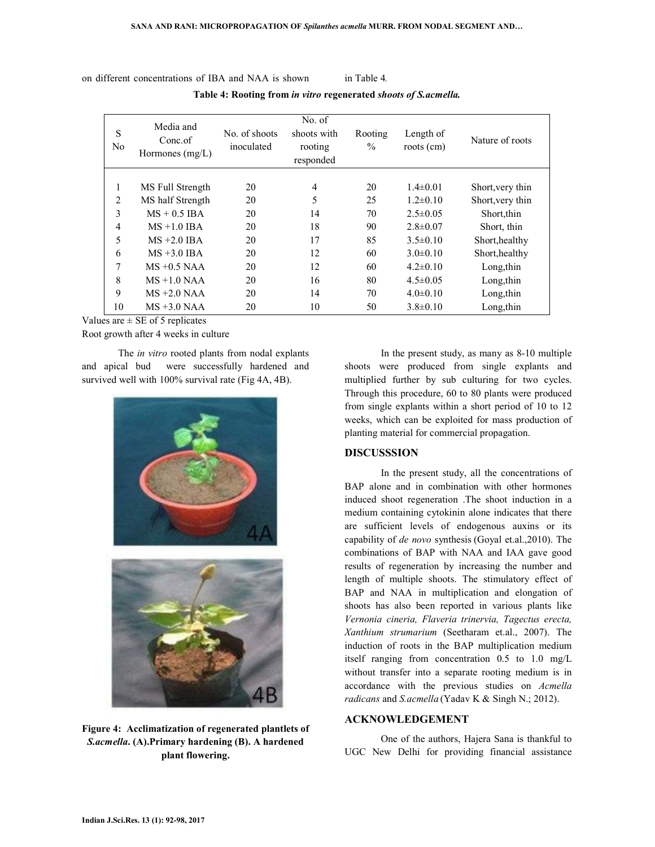on different concentrations of IBA and NAA is shown in Table 4*.* 

**Table 4: Rooting from** *in vitro* **regenerated** *shoots of S.acmella.*

| S<br>N <sub>0</sub> | Media and<br>Conc.of<br>Hormones $(mg/L)$ | No. of shoots<br>inoculated | No. of<br>shoots with<br>rooting<br>responded | Rooting<br>$\frac{0}{0}$ | Length of<br>$roots$ (cm) | Nature of roots  |
|---------------------|-------------------------------------------|-----------------------------|-----------------------------------------------|--------------------------|---------------------------|------------------|
| 1                   |                                           | 20                          | $\overline{4}$                                | 20                       | $1.4 \pm 0.01$            |                  |
|                     | MS Full Strength                          |                             |                                               |                          |                           | Short, very thin |
| 2                   | MS half Strength                          | 20                          | 5                                             | 25                       | $1.2\pm 0.10$             | Short, very thin |
| 3                   | $MS + 0.5$ IBA                            | 20                          | 14                                            | 70                       | $2.5 \pm 0.05$            | Short, thin      |
| 4                   | $MS + 1.0$ IBA                            | 20                          | 18                                            | 90                       | $2.8 \pm 0.07$            | Short, thin      |
| 5                   | $MS + 2.0$ IBA                            | 20                          | 17                                            | 85                       | $3.5 \pm 0.10$            | Short, healthy   |
| 6                   | $MS + 3.0$ IBA                            | 20                          | 12                                            | 60                       | $3.0\pm 0.10$             | Short, healthy   |
| 7                   | $MS + 0.5 NAA$                            | 20                          | 12                                            | 60                       | $4.2\pm0.10$              | Long, thin       |
| 8                   | $MS + 1.0 NAA$                            | 20                          | 16                                            | 80                       | $4.5 \pm 0.05$            | Long, thin       |
| 9                   | $MS + 2.0 NAA$                            | 20                          | 14                                            | 70                       | $4.0 \pm 0.10$            | Long, thin       |
| 10                  | $MS + 3.0 NAA$                            | 20                          | 10                                            | 50                       | $3.8 \pm 0.10$            | Long, thin       |

Values are  $\pm$  SE of 5 replicates

Root growth after 4 weeks in culture

 The *in vitro* rooted plants from nodal explants and apical bud were successfully hardened and survived well with 100% survival rate (Fig 4A, 4B).



**Figure 4: Acclimatization of regenerated plantlets of**  *S.acmella***. (A).Primary hardening (B). A hardened plant flowering.**

 In the present study, as many as 8-10 multiple shoots were produced from single explants and multiplied further by sub culturing for two cycles. Through this procedure, 60 to 80 plants were produced from single explants within a short period of 10 to 12 weeks, which can be exploited for mass production of planting material for commercial propagation.

# **DISCUSSSION**

 In the present study, all the concentrations of BAP alone and in combination with other hormones induced shoot regeneration .The shoot induction in a medium containing cytokinin alone indicates that there are sufficient levels of endogenous auxins or its capability of *de novo* synthesis (Goyal et.al.,2010). The combinations of BAP with NAA and IAA gave good results of regeneration by increasing the number and length of multiple shoots. The stimulatory effect of BAP and NAA in multiplication and elongation of shoots has also been reported in various plants like *Vernonia cineria, Flaveria trinervia, Tagectus erecta, Xanthium strumarium* (Seetharam et.al., 2007). The induction of roots in the BAP multiplication medium itself ranging from concentration 0.5 to 1.0 mg/L without transfer into a separate rooting medium is in accordance with the previous studies on *Acmella radicans* and *S.acmella* (Yadav K & Singh N.; 2012).

# **ACKNOWLEDGEMENT**

 One of the authors, Hajera Sana is thankful to UGC New Delhi for providing financial assistance